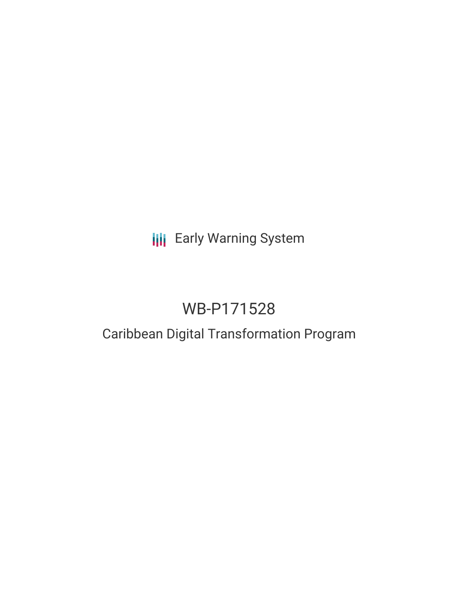# **III** Early Warning System

# WB-P171528

### Caribbean Digital Transformation Program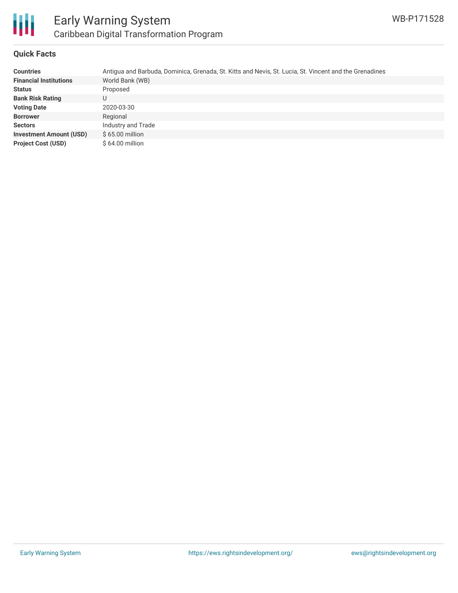

#### **Quick Facts**

| <b>Countries</b>               | Antigua and Barbuda, Dominica, Grenada, St. Kitts and Nevis, St. Lucia, St. Vincent and the Grenadines |
|--------------------------------|--------------------------------------------------------------------------------------------------------|
| <b>Financial Institutions</b>  | World Bank (WB)                                                                                        |
| <b>Status</b>                  | Proposed                                                                                               |
| <b>Bank Risk Rating</b>        | U                                                                                                      |
| <b>Voting Date</b>             | 2020-03-30                                                                                             |
| <b>Borrower</b>                | Regional                                                                                               |
| <b>Sectors</b>                 | Industry and Trade                                                                                     |
| <b>Investment Amount (USD)</b> | $$65.00$ million                                                                                       |
| <b>Project Cost (USD)</b>      | $$64.00$ million                                                                                       |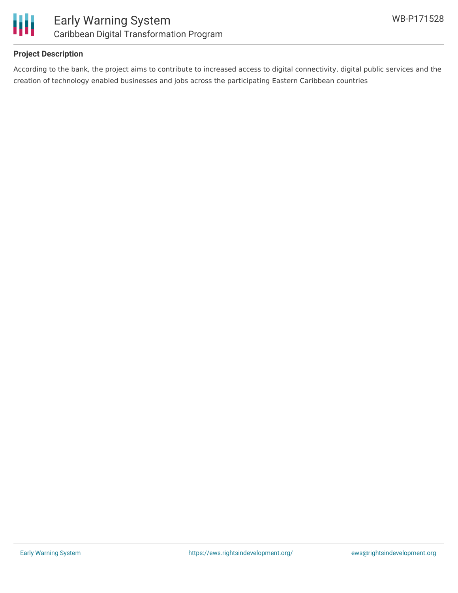

#### **Project Description**

According to the bank, the project aims to contribute to increased access to digital connectivity, digital public services and the creation of technology enabled businesses and jobs across the participating Eastern Caribbean countries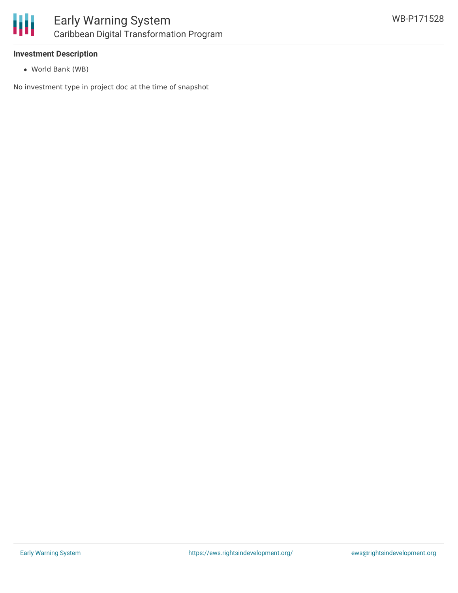

#### **Investment Description**

World Bank (WB)

No investment type in project doc at the time of snapshot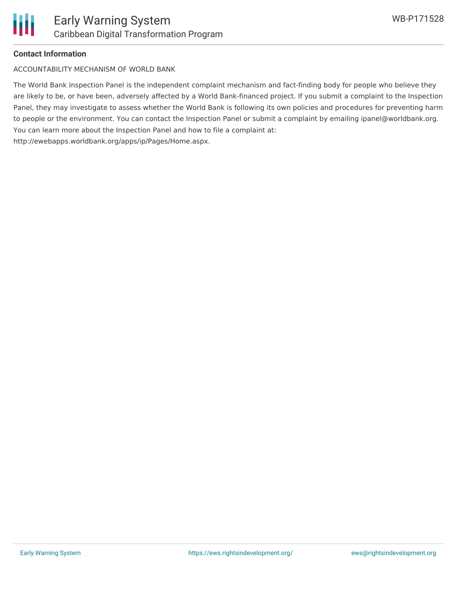

#### **Contact Information**

ACCOUNTABILITY MECHANISM OF WORLD BANK

The World Bank Inspection Panel is the independent complaint mechanism and fact-finding body for people who believe they are likely to be, or have been, adversely affected by a World Bank-financed project. If you submit a complaint to the Inspection Panel, they may investigate to assess whether the World Bank is following its own policies and procedures for preventing harm to people or the environment. You can contact the Inspection Panel or submit a complaint by emailing ipanel@worldbank.org. You can learn more about the Inspection Panel and how to file a complaint at: http://ewebapps.worldbank.org/apps/ip/Pages/Home.aspx.